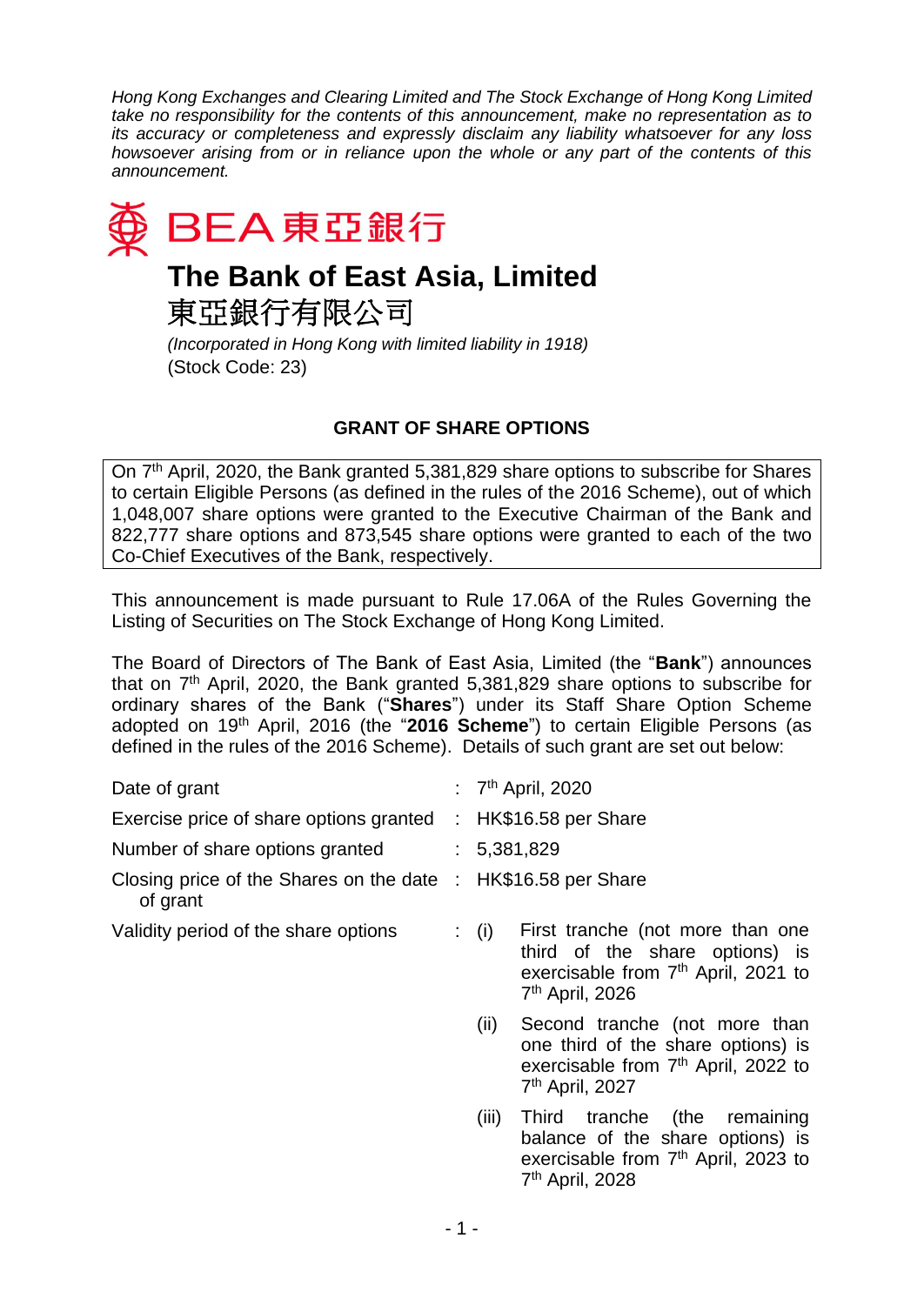*Hong Kong Exchanges and Clearing Limited and The Stock Exchange of Hong Kong Limited take no responsibility for the contents of this announcement, make no representation as to its accuracy or completeness and expressly disclaim any liability whatsoever for any loss howsoever arising from or in reliance upon the whole or any part of the contents of this announcement.*



東亞銀行有限公司

*(Incorporated in Hong Kong with limited liability in 1918)* (Stock Code: 23)

## **GRANT OF SHARE OPTIONS**

On 7<sup>th</sup> April, 2020, the Bank granted 5,381,829 share options to subscribe for Shares to certain Eligible Persons (as defined in the rules of the 2016 Scheme), out of which 1,048,007 share options were granted to the Executive Chairman of the Bank and 822,777 share options and 873,545 share options were granted to each of the two Co-Chief Executives of the Bank, respectively.

This announcement is made pursuant to Rule 17.06A of the Rules Governing the Listing of Securities on The Stock Exchange of Hong Kong Limited.

The Board of Directors of The Bank of East Asia, Limited (the "**Bank**") announces that on 7<sup>th</sup> April, 2020, the Bank granted 5,381,829 share options to subscribe for ordinary shares of the Bank ("**Shares**") under its Staff Share Option Scheme adopted on 19<sup>th</sup> April, 2016 (the "2016 Scheme") to certain Eligible Persons (as defined in the rules of the 2016 Scheme). Details of such grant are set out below:

| Date of grant                                                             | : $7th$ April, 2020                                                                                                                                                  |
|---------------------------------------------------------------------------|----------------------------------------------------------------------------------------------------------------------------------------------------------------------|
| Exercise price of share options granted                                   | : $HK$16.58$ per Share                                                                                                                                               |
| Number of share options granted                                           | : 5,381,829                                                                                                                                                          |
| Closing price of the Shares on the date : HK\$16.58 per Share<br>of grant |                                                                                                                                                                      |
| Validity period of the share options                                      | $\colon$ (i)<br>First tranche (not more than one<br>third of the share options) is<br>exercisable from 7 <sup>th</sup> April, 2021 to<br>7 <sup>th</sup> April, 2026 |
|                                                                           | (ii)<br>Second tranche (not more than<br>one third of the share options) is<br>exercisable from 7 <sup>th</sup> April, 2022 to<br>7 <sup>th</sup> April, 2027        |
|                                                                           | (iii)<br>Third tranche (the<br>remaining<br>balance of the share options) is<br>exercisable from 7 <sup>th</sup> April, 2023 to<br>7 <sup>th</sup> April, 2028       |